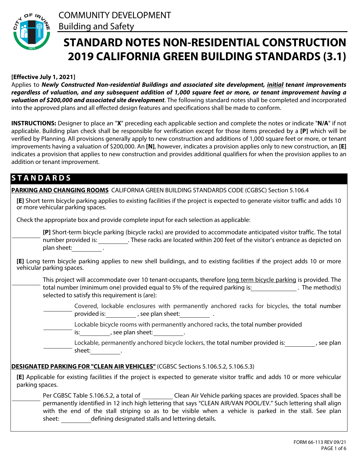

# **STANDARD NOTES NON-RESIDENTIAL CONSTRUCTION 2019 CALIFORNIA GREEN BUILDING STANDARDS (3.1)**

# **[Effective July 1, 2021]**

Applies to *Newly Constructed Non-residential Buildings and associated site development, initial tenant improvements regardless of valuation, and any subsequent addition of 1,000 square feet or more, or tenant improvement having a valuation of \$200,000 and associated site development*. The following standard notes shall be completed and incorporated into the approved plans and all effected design features and specifications shall be made to conform.

**INSTRUCTIONS:** Designer to place an "**X**" preceding each applicable section and complete the notes or indicate "**N/A**" if not applicable. Building plan check shall be responsible for verification except for those items preceded by a **[P]** which will be verified by Planning. All provisions generally apply to new construction and additions of 1,000 square feet or more, or tenant improvements having a valuation of \$200,000. An **[N]**, however, indicates a provision applies only to new construction, an **[E]** indicates a provision that applies to new construction and provides additional qualifiers for when the provision applies to an addition or tenant improvement.

# **S T A N D A R D S**

| PARKING AND CHANGING ROOMS CALIFORNIA GREEN BUILDING STANDARDS CODE (CGBSC) Section 5.106.4                                                                                                                                                                                                                                                                                                                                                                                                              |
|----------------------------------------------------------------------------------------------------------------------------------------------------------------------------------------------------------------------------------------------------------------------------------------------------------------------------------------------------------------------------------------------------------------------------------------------------------------------------------------------------------|
| [E] Short term bicycle parking applies to existing facilities if the project is expected to generate visitor traffic and adds 10<br>or more vehicular parking spaces.                                                                                                                                                                                                                                                                                                                                    |
| Check the appropriate box and provide complete input for each selection as applicable:                                                                                                                                                                                                                                                                                                                                                                                                                   |
| <b><math>\blacksquare</math></b> [P] Short-term bicycle parking (bicycle racks) are provided to accommodate anticipated visitor traffic. The total<br>number provided is: ___________. These racks are located within 200 feet of the visitor's entrance as depicted on<br>plan sheet: The control of the control of the control of the control of the control of the control of the control of the control of the control of the control of the control of the control of the control of the control of |
| [E] Long term bicycle parking applies to new shell buildings, and to existing facilities if the project adds 10 or more<br>vehicular parking spaces.                                                                                                                                                                                                                                                                                                                                                     |
| This project will accommodate over 10 tenant-occupants, therefore long term bicycle parking is provided. The<br>$\overline{\mathbf{v}}$<br>total number (minimum one) provided equal to 5% of the required parking is: The method(s)<br>selected to satisfy this requirement is (are):                                                                                                                                                                                                                   |
| $\blacktriangleright$ Covered, lockable enclosures with permanently anchored racks for bicycles, the total number<br>provided is: provided is: provided is:                                                                                                                                                                                                                                                                                                                                              |
| $\blacksquare$ Lockable bicycle rooms with permanently anchored racks, the total number provided<br>is: $\qquad \qquad$ , see plan sheet: ____________.                                                                                                                                                                                                                                                                                                                                                  |
| $\blacksquare$ Lockable, permanently anchored bicycle lockers, the total number provided is: $\blacksquare$ , see plan<br>sheet: $\frac{1}{\sqrt{1-\frac{1}{2}}}\cdot$                                                                                                                                                                                                                                                                                                                                   |
| DESIGNATED PARKING FOR "CLEAN AIR VEHICLES" (CGBSC Sections 5.106.5.2, 5.106.5.3)                                                                                                                                                                                                                                                                                                                                                                                                                        |
| [E] Applicable for existing facilities if the project is expected to generate visitor traffic and adds 10 or more vehicular<br>parking spaces.                                                                                                                                                                                                                                                                                                                                                           |
| ► Per CGBSC Table 5.106.5.2, a total of ____________Clean Air Vehicle parking spaces are provided. Spaces shall be<br>permanently identified in 12 inch high lettering that says "CLEAN AIR/VAN POOL/EV." Such lettering shall align<br>with the end of the stall striping so as to be visible when a vehicle is parked in the stall. See plan<br>defining designated stalls and lettering details.<br>sheet:                                                                                            |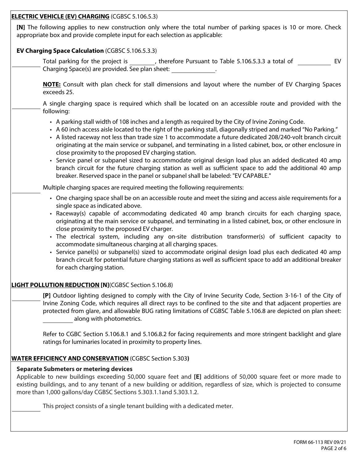| <b>ELECTRIC VEHICLE (EV) CHARGING (CGBSC 5.106.5.3)</b>                                                                                                                                                                                                                                                                                                                                                                                                                                                                                                                                                                                                                                                                                                                                                                                           |
|---------------------------------------------------------------------------------------------------------------------------------------------------------------------------------------------------------------------------------------------------------------------------------------------------------------------------------------------------------------------------------------------------------------------------------------------------------------------------------------------------------------------------------------------------------------------------------------------------------------------------------------------------------------------------------------------------------------------------------------------------------------------------------------------------------------------------------------------------|
| [N] The following applies to new construction only where the total number of parking spaces is 10 or more. Check<br>appropriate box and provide complete input for each selection as applicable:                                                                                                                                                                                                                                                                                                                                                                                                                                                                                                                                                                                                                                                  |
| <b>EV Charging Space Calculation (CGBSC 5.106.5.3.3)</b>                                                                                                                                                                                                                                                                                                                                                                                                                                                                                                                                                                                                                                                                                                                                                                                          |
| $\Box$ Total parking for the project is ________, therefore Pursuant to Table 5.106.5.3.3 a total of _______<br>EV<br>Charging Space(s) are provided. See plan sheet: _______________.                                                                                                                                                                                                                                                                                                                                                                                                                                                                                                                                                                                                                                                            |
| <b>NOTE:</b> Consult with plan check for stall dimensions and layout where the number of EV Charging Spaces<br>exceeds 25.                                                                                                                                                                                                                                                                                                                                                                                                                                                                                                                                                                                                                                                                                                                        |
| $\blacktriangleright$ A single charging space is required which shall be located on an accessible route and provided with the<br>following:                                                                                                                                                                                                                                                                                                                                                                                                                                                                                                                                                                                                                                                                                                       |
| • A parking stall width of 108 inches and a length as required by the City of Irvine Zoning Code.<br>• A 60 inch access aisle located to the right of the parking stall, diagonally striped and marked "No Parking."<br>• A listed raceway not less than trade size 1 to accommodate a future dedicated 208/240-volt branch circuit<br>originating at the main service or subpanel, and terminating in a listed cabinet, box, or other enclosure in<br>close proximity to the proposed EV charging station.<br>• Service panel or subpanel sized to accommodate original design load plus an added dedicated 40 amp<br>branch circuit for the future charging station as well as sufficient space to add the additional 40 amp<br>breaker. Reserved space in the panel or subpanel shall be labeled: "EV CAPABLE."                                |
| $\blacktriangleright$ Multiple charging spaces are required meeting the following requirements:                                                                                                                                                                                                                                                                                                                                                                                                                                                                                                                                                                                                                                                                                                                                                   |
| • One charging space shall be on an accessible route and meet the sizing and access aisle requirements for a<br>single space as indicated above.<br>• Raceway(s) capable of accommodating dedicated 40 amp branch circuits for each charging space,<br>originating at the main service or subpanel, and terminating in a listed cabinet, box, or other enclosure in<br>close proximity to the proposed EV charger.<br>· The electrical system, including any on-site distribution transformer(s) of sufficient capacity to<br>accommodate simultaneous charging at all charging spaces.<br>• Service panel(s) or subpanel(s) sized to accommodate original design load plus each dedicated 40 amp<br>branch circuit for potential future charging stations as well as sufficient space to add an additional breaker<br>for each charging station. |
| <b>LIGHT POLLUTION REDUCTION [N](CGBSC Section 5.106.8)</b>                                                                                                                                                                                                                                                                                                                                                                                                                                                                                                                                                                                                                                                                                                                                                                                       |
| [P] Outdoor lighting designed to comply with the City of Irvine Security Code, Section 3-16-1 of the City of<br>Irvine Zoning Code, which requires all direct rays to be confined to the site and that adjacent properties are<br>protected from glare, and allowable BUG rating limitations of CGBSC Table 5.106.8 are depicted on plan sheet:<br>along with photometrics.                                                                                                                                                                                                                                                                                                                                                                                                                                                                       |
| Refer to CGBC Section 5.106.8.1 and 5.106.8.2 for facing requirements and more stringent backlight and glare<br>ratings for luminaries located in proximity to property lines.                                                                                                                                                                                                                                                                                                                                                                                                                                                                                                                                                                                                                                                                    |
| <b>WATER EFFICIENCY AND CONSERVATION</b> (CGBSC Section 5.303)                                                                                                                                                                                                                                                                                                                                                                                                                                                                                                                                                                                                                                                                                                                                                                                    |
| <b>Separate Submeters or metering devices</b><br>Applicable to new buildings exceeding 50,000 square feet and [E] additions of 50,000 square feet or more made to<br>existing buildings, and to any tenant of a new building or addition, regardless of size, which is projected to consume<br>more than 1,000 gallons/day CGBSC Sections 5.303.1.1 and 5.303.1.2.                                                                                                                                                                                                                                                                                                                                                                                                                                                                                |
| This project consists of a single tenant building with a dedicated meter.                                                                                                                                                                                                                                                                                                                                                                                                                                                                                                                                                                                                                                                                                                                                                                         |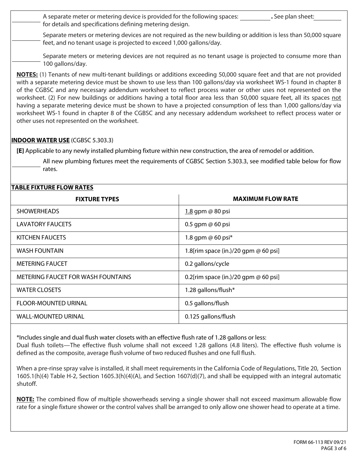A separate meter or metering device is provided for the following spaces: See plan sheet: for details and specifications defining metering design.

Separate meters or metering devices are not required as the new building or addition is less than 50,000 square feet, and no tenant usage is projected to exceed 1,000 gallons/day.

Separate meters or metering devices are not required as no tenant usage is projected to consume more than 100 gallons/day.

**NOTES:** (1) Tenants of new multi-tenant buildings or additions exceeding 50,000 square feet and that are not provided with a separate metering device must be shown to use less than 100 gallons/day via worksheet WS-1 found in chapter 8 of the CGBSC and any necessary addendum worksheet to reflect process water or other uses not represented on the worksheet. (2) For new buildings or additions having a total floor area less than 50,000 square feet, all its spaces not having a separate metering device must be shown to have a projected consumption of less than 1,000 gallons/day via worksheet WS-1 found in chapter 8 of the CGBSC and any necessary addendum worksheet to reflect process water or other uses not represented on the worksheet.

# **INDOOR WATER USE** (CGBSC 5.303.3)

**[E]** Applicable to any newly installed plumbing fixture within new construction, the area of remodel or addition.

All new plumbing fixtures meet the requirements of CGBSC Section 5.303.3, see modified table below for flow rates.

# **TABLE FIXTURE FLOW RATES**

| <b>FIXTURE TYPES</b>                      | <b>MAXIMUM FLOW RATE</b>               |
|-------------------------------------------|----------------------------------------|
| <b>SHOWERHEADS</b>                        | 1.8 gpm @ 80 psi                       |
| <b>LAVATORY FAUCETS</b>                   | 0.5 gpm @ 60 psi                       |
| KITCHEN FAUCETS                           | 1.8 gpm $@$ 60 psi $*$                 |
| <b>WASH FOUNTAIN</b>                      | 1.8[rim space (in.)/20 gpm @ 60 psi]   |
| <b>METERING FAUCET</b>                    | 0.2 gallons/cycle                      |
| <b>METERING FAUCET FOR WASH FOUNTAINS</b> | 0.2[rim space (in.)/20 gpm $@$ 60 psi] |
| <b>WATER CLOSETS</b>                      | 1.28 gallons/flush*                    |
| <b>FLOOR-MOUNTED URINAL</b>               | 0.5 gallons/flush                      |
| <b>WALL-MOUNTED URINAL</b>                | 0.125 gallons/flush                    |

\*Includes single and dual flush water closets with an effective flush rate of 1.28 gallons or less:

Dual flush toilets—The effective flush volume shall not exceed 1.28 gallons (4.8 liters). The effective flush volume is defined as the composite, average flush volume of two reduced flushes and one full flush.

When a pre-rinse spray valve is installed, it shall meet requirements in the California Code of Regulations, Title 20, Section 1605.1(h)(4) Table H-2, Section 1605.3(h)(4)(A), and Section 1607(d)(7), and shall be equipped with an integral automatic shutoff.

**NOTE:** The combined flow of multiple showerheads serving a single shower shall not exceed maximum allowable flow rate for a single fixture shower or the control valves shall be arranged to only allow one shower head to operate at a time.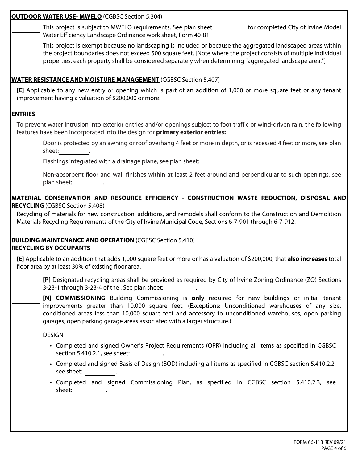| <b>OUTDOOR WATER USE- MWELO (CGBSC Section 5.304)</b>                                                                                                                                                                                                                                                                                                                                                          |
|----------------------------------------------------------------------------------------------------------------------------------------------------------------------------------------------------------------------------------------------------------------------------------------------------------------------------------------------------------------------------------------------------------------|
| This project is subject to MWELO requirements. See plan sheet: $\Box$ for completed City of Irvine Model<br>Water Efficiency Landscape Ordinance work sheet, Form 40-81.                                                                                                                                                                                                                                       |
| This project is exempt because no landscaping is included or because the aggregated landscaped areas within<br>the project boundaries does not exceed 500 square feet. [Note where the project consists of multiple individual<br>properties, each property shall be considered separately when determining "aggregated landscape area."]                                                                      |
| <b>WATER RESISTANCE AND MOISTURE MANAGEMENT</b> (CGBSC Section 5.407)                                                                                                                                                                                                                                                                                                                                          |
| [E] Applicable to any new entry or opening which is part of an addition of 1,000 or more square feet or any tenant<br>improvement having a valuation of \$200,000 or more.                                                                                                                                                                                                                                     |
| <b>ENTRIES</b>                                                                                                                                                                                                                                                                                                                                                                                                 |
| To prevent water intrusion into exterior entries and/or openings subject to foot traffic or wind-driven rain, the following<br>features have been incorporated into the design for primary exterior entries:                                                                                                                                                                                                   |
| Door is protected by an awning or roof overhang 4 feet or more in depth, or is recessed 4 feet or more, see plan<br>$\overline{\mathbf{v}}$<br>sheet:                                                                                                                                                                                                                                                          |
| $\blacktriangleright$ Flashings integrated with a drainage plane, see plan sheet:                                                                                                                                                                                                                                                                                                                              |
| Non-absorbent floor and wall finishes within at least 2 feet around and perpendicular to such openings, see<br>plan sheet: The control of the control of the control of the control of the control of the control of the control of the control of the control of the control of the control of the control of the control of the control of                                                                   |
| MATERIAL CONSERVATION AND RESOURCE EFFICIENCY - CONSTRUCTION WASTE REDUCTION, DISPOSAL AND                                                                                                                                                                                                                                                                                                                     |
| <b>RECYCLING</b> (CGBSC Section 5.408)                                                                                                                                                                                                                                                                                                                                                                         |
| Recycling of materials for new construction, additions, and remodels shall conform to the Construction and Demolition<br>Materials Recycling Requirements of the City of Irvine Municipal Code, Sections 6-7-901 through 6-7-912.                                                                                                                                                                              |
| <b>BUILDING MAINTENANCE AND OPERATION (CGBSC Section 5.410)</b><br><b>RECYCLING BY OCCUPANTS</b>                                                                                                                                                                                                                                                                                                               |
| [E] Applicable to an addition that adds 1,000 square feet or more or has a valuation of \$200,000, that also increases total<br>floor area by at least 30% of existing floor area.                                                                                                                                                                                                                             |
| [P] Designated recycling areas shall be provided as required by City of Irvine Zoning Ordinance (ZO) Sections<br>$\overline{\mathbf{v}}$<br>3-23-1 through 3-23-4 of the . See plan sheet:                                                                                                                                                                                                                     |
| [N] COMMISSIONING Building Commissioning is only required for new buildings or initial tenant<br>$\blacktriangledown$<br>improvements greater than 10,000 square feet. (Exceptions: Unconditioned warehouses of any size,<br>conditioned areas less than 10,000 square feet and accessory to unconditioned warehouses, open parking<br>garages, open parking garage areas associated with a larger structure.) |
| <b>DESIGN</b>                                                                                                                                                                                                                                                                                                                                                                                                  |
| • Completed and signed Owner's Project Requirements (OPR) including all items as specified in CGBSC<br>section 5.410.2.1, see sheet:                                                                                                                                                                                                                                                                           |
| • Completed and signed Basis of Design (BOD) including all items as specified in CGBSC section 5.410.2.2,<br>see sheet: ___________.                                                                                                                                                                                                                                                                           |
| • Completed and signed Commissioning Plan, as specified in CGBSC section 5.410.2.3, see<br>$\qquad \qquad \text{sheet:}\qquad \qquad .$                                                                                                                                                                                                                                                                        |
|                                                                                                                                                                                                                                                                                                                                                                                                                |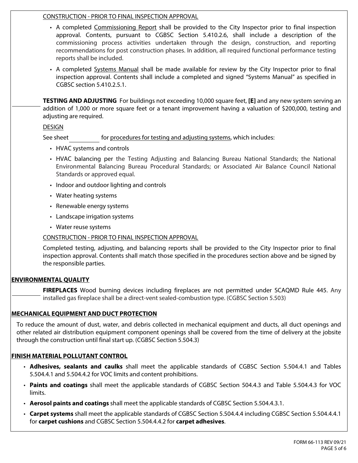# CONSTRUCTION - PRIOR TO FINAL INSPECTION APPROVAL

- A completed Commissioning Report shall be provided to the City Inspector prior to final inspection approval. Contents, pursuant to CGBSC Section 5.410.2.6, shall include a description of the commissioning process activities undertaken through the design, construction, and reporting recommendations for post construction phases. In addition, all required functional performance testing reports shall be included.
- A completed Systems Manual shall be made available for review by the City Inspector prior to final inspection approval. Contents shall include a completed and signed "Systems Manual" as specified in CGBSC section 5.410.2.5.1.

**TESTING AND ADJUSTING** For buildings not exceeding 10,000 square feet, **[E]** and any new system serving an addition of 1,000 or more square feet or a tenant improvement having a valuation of \$200,000, testing and adjusting are required.

#### DESIGN

See sheet for procedures for testing and adjusting systems, which includes:

- HVAC systems and controls
- HVAC balancing per the Testing Adjusting and Balancing Bureau National Standards; the National Environmental Balancing Bureau Procedural Standards; or Associated Air Balance Council National Standards or approved equal.
- Indoor and outdoor lighting and controls
- Water heating systems
- Renewable energy systems
- Landscape irrigation systems
- Water reuse systems

# CONSTRUCTION - PRIOR TO FINAL INSPECTION APPROVAL

Completed testing, adjusting, and balancing reports shall be provided to the City Inspector prior to final inspection approval. Contents shall match those specified in the procedures section above and be signed by the responsible parties.

# **ENVIRONMENTAL QUALITY**

**FIREPLACES** Wood burning devices including fireplaces are not permitted under SCAQMD Rule 445. Any installed gas fireplace shall be a direct-vent sealed-combustion type. (CGBSC Section 5.503)

#### **MECHANICAL EQUIPMENT AND DUCT PROTECTION**

To reduce the amount of dust, water, and debris collected in mechanical equipment and ducts, all duct openings and other related air distribution equipment component openings shall be covered from the time of delivery at the jobsite through the construction until final start up. (CGBSC Section 5.504.3)

# **FINISH MATERIAL POLLUTANT CONTROL**

- **Adhesives, sealants and caulks** shall meet the applicable standards of CGBSC Section 5.504.4.1 and Tables 5.504.4.1 and 5.504.4.2 for VOC limits and content prohibitions.
- **Paints and coatings** shall meet the applicable standards of CGBSC Section 504.4.3 and Table 5.504.4.3 for VOC limits.
- **Aerosol paints and coatings** shall meet the applicable standards of CGBSC Section 5.504.4.3.1.
- **Carpet systems** shall meet the applicable standards of CGBSC Section 5.504.4.4 including CGBSC Section 5.504.4.4.1 for **carpet cushions** and CGBSC Section 5.504.4.4.2 for **carpet adhesives**.